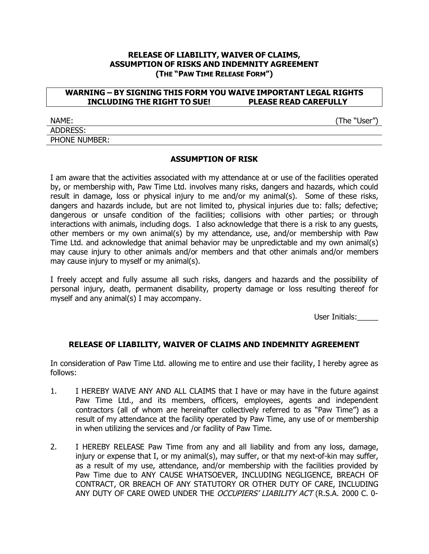## **RELEASE OF LIABILITY, WAIVER OF CLAIMS, ASSUMPTION OF RISKS AND INDEMNITY AGREEMENT (THE "PAW TIME RELEASE FORM")**

## **WARNING – BY SIGNING THIS FORM YOU WAIVE IMPORTANT LEGAL RIGHTS INCLUDING THE RIGHT TO SUE! PLEASE READ CAREFULLY**

NAME: (The "User") ADDRESS: PHONE NUMBER:

## **ASSUMPTION OF RISK**

I am aware that the activities associated with my attendance at or use of the facilities operated by, or membership with, Paw Time Ltd. involves many risks, dangers and hazards, which could result in damage, loss or physical injury to me and/or my animal(s). Some of these risks, dangers and hazards include, but are not limited to, physical injuries due to: falls; defective; dangerous or unsafe condition of the facilities; collisions with other parties; or through interactions with animals, including dogs. I also acknowledge that there is a risk to any guests, other members or my own animal(s) by my attendance, use, and/or membership with Paw Time Ltd. and acknowledge that animal behavior may be unpredictable and my own animal(s) may cause injury to other animals and/or members and that other animals and/or members may cause injury to myself or my animal(s).

I freely accept and fully assume all such risks, dangers and hazards and the possibility of personal injury, death, permanent disability, property damage or loss resulting thereof for myself and any animal(s) I may accompany.

User Initials:\_\_\_\_\_

## **RELEASE OF LIABILITY, WAIVER OF CLAIMS AND INDEMNITY AGREEMENT**

In consideration of Paw Time Ltd. allowing me to entire and use their facility, I hereby agree as follows:

- 1. I HEREBY WAIVE ANY AND ALL CLAIMS that I have or may have in the future against Paw Time Ltd., and its members, officers, employees, agents and independent contractors (all of whom are hereinafter collectively referred to as "Paw Time") as a result of my attendance at the facility operated by Paw Time, any use of or membership in when utilizing the services and /or facility of Paw Time.
- 2. I HEREBY RELEASE Paw Time from any and all liability and from any loss, damage, injury or expense that I, or my animal(s), may suffer, or that my next-of-kin may suffer, as a result of my use, attendance, and/or membership with the facilities provided by Paw Time due to ANY CAUSE WHATSOEVER, INCLUDING NEGLIGENCE, BREACH OF CONTRACT, OR BREACH OF ANY STATUTORY OR OTHER DUTY OF CARE, INCLUDING ANY DUTY OF CARE OWED UNDER THE OCCUPIERS' LIABILITY ACT (R.S.A. 2000 C. 0-